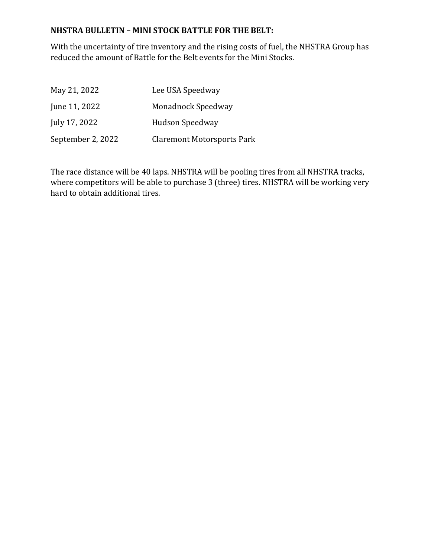#### **NHSTRA BULLETIN – MINI STOCK BATTLE FOR THE BELT:**

With the uncertainty of tire inventory and the rising costs of fuel, the NHSTRA Group has reduced the amount of Battle for the Belt events for the Mini Stocks.

| May 21, 2022      | Lee USA Speedway                  |
|-------------------|-----------------------------------|
| June 11, 2022     | Monadnock Speedway                |
| July 17, 2022     | Hudson Speedway                   |
| September 2, 2022 | <b>Claremont Motorsports Park</b> |

The race distance will be 40 laps. NHSTRA will be pooling tires from all NHSTRA tracks, where competitors will be able to purchase 3 (three) tires. NHSTRA will be working very hard to obtain additional tires.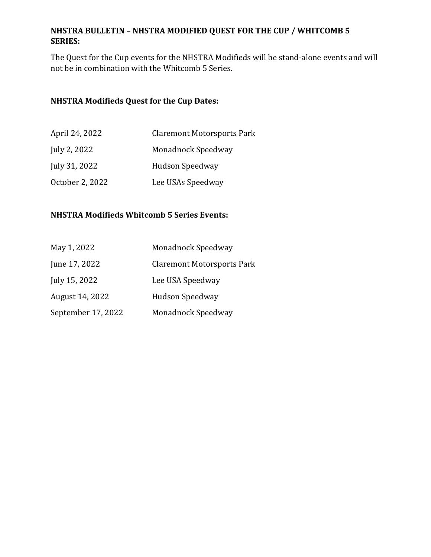## **NHSTRA BULLETIN – NHSTRA MODIFIED QUEST FOR THE CUP / WHITCOMB 5 SERIES:**

The Quest for the Cup events for the NHSTRA Modifieds will be stand-alone events and will not be in combination with the Whitcomb 5 Series.

### **NHSTRA Modifieds Quest for the Cup Dates:**

| April 24, 2022  | <b>Claremont Motorsports Park</b> |
|-----------------|-----------------------------------|
| July 2, 2022    | <b>Monadnock Speedway</b>         |
| July 31, 2022   | Hudson Speedway                   |
| October 2, 2022 | Lee USAs Speedway                 |

# **NHSTRA Modifieds Whitcomb 5 Series Events:**

| May 1, 2022        | <b>Monadnock Speedway</b>         |
|--------------------|-----------------------------------|
| June 17, 2022      | <b>Claremont Motorsports Park</b> |
| July 15, 2022      | Lee USA Speedway                  |
| August 14, 2022    | Hudson Speedway                   |
| September 17, 2022 | <b>Monadnock Speedway</b>         |